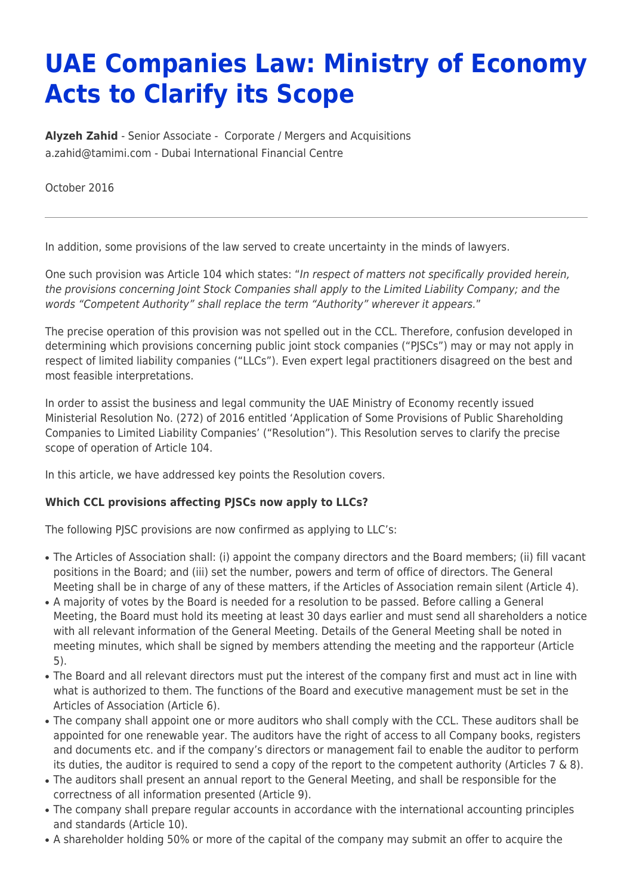## **UAE Companies Law: Ministry of Economy Acts to Clarify its Scope**

**[Alyzeh Zahid](https://www.tamimi.com/find-a-lawyer/alyzeh-zahid/)** - Senior Associate - [Corporate / Mergers and Acquisitions](https://www.tamimi.com/client-services/practices/corporate-mergers-acquisitions/) [a.zahid@tamimi.com](mailto:a.zahid@tamimi.com) - [Dubai International Financial Centre](https://www.tamimi.com/locations/uae/)

October 2016

In addition, some provisions of the law served to create uncertainty in the minds of lawyers.

One such provision was Article 104 which states: "In respect of matters not specifically provided herein, the provisions concerning Joint Stock Companies shall apply to the Limited Liability Company; and the words "Competent Authority" shall replace the term "Authority" wherever it appears."

The precise operation of this provision was not spelled out in the CCL. Therefore, confusion developed in determining which provisions concerning public joint stock companies ("PJSCs") may or may not apply in respect of limited liability companies ("LLCs"). Even expert legal practitioners disagreed on the best and most feasible interpretations.

In order to assist the business and legal community the UAE Ministry of Economy recently issued Ministerial Resolution No. (272) of 2016 entitled 'Application of Some Provisions of Public Shareholding Companies to Limited Liability Companies' ("Resolution"). This Resolution serves to clarify the precise scope of operation of Article 104.

In this article, we have addressed key points the Resolution covers.

## **Which CCL provisions affecting PJSCs now apply to LLCs?**

The following PJSC provisions are now confirmed as applying to LLC's:

- The Articles of Association shall: (i) appoint the company directors and the Board members; (ii) fill vacant positions in the Board; and (iii) set the number, powers and term of office of directors. The General Meeting shall be in charge of any of these matters, if the Articles of Association remain silent (Article 4).
- A majority of votes by the Board is needed for a resolution to be passed. Before calling a General Meeting, the Board must hold its meeting at least 30 days earlier and must send all shareholders a notice with all relevant information of the General Meeting. Details of the General Meeting shall be noted in meeting minutes, which shall be signed by members attending the meeting and the rapporteur (Article 5).
- The Board and all relevant directors must put the interest of the company first and must act in line with what is authorized to them. The functions of the Board and executive management must be set in the Articles of Association (Article 6).
- The company shall appoint one or more auditors who shall comply with the CCL. These auditors shall be appointed for one renewable year. The auditors have the right of access to all Company books, registers and documents etc. and if the company's directors or management fail to enable the auditor to perform its duties, the auditor is required to send a copy of the report to the competent authority (Articles 7 & 8).
- The auditors shall present an annual report to the General Meeting, and shall be responsible for the correctness of all information presented (Article 9).
- The company shall prepare regular accounts in accordance with the international accounting principles and standards (Article 10).
- A shareholder holding 50% or more of the capital of the company may submit an offer to acquire the